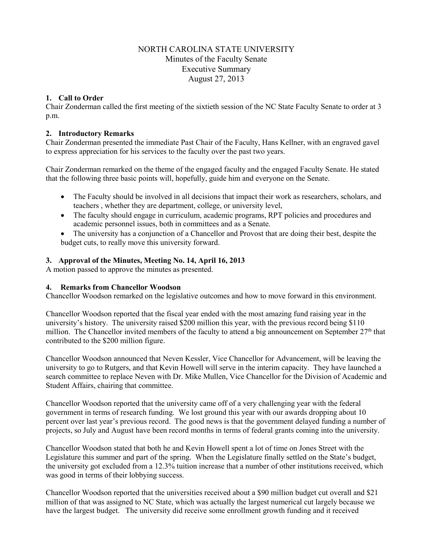# NORTH CAROLINA STATE UNIVERSITY Minutes of the Faculty Senate Executive Summary August 27, 2013

# **1. Call to Order**

Chair Zonderman called the first meeting of the sixtieth session of the NC State Faculty Senate to order at 3 p.m.

### **2. Introductory Remarks**

Chair Zonderman presented the immediate Past Chair of the Faculty, Hans Kellner, with an engraved gavel to express appreciation for his services to the faculty over the past two years.

Chair Zonderman remarked on the theme of the engaged faculty and the engaged Faculty Senate. He stated that the following three basic points will, hopefully, guide him and everyone on the Senate.

- The Faculty should be involved in all decisions that impact their work as researchers, scholars, and teachers , whether they are department, college, or university level,
- The faculty should engage in curriculum, academic programs, RPT policies and procedures and academic personnel issues, both in committees and as a Senate.
- The university has a conjunction of a Chancellor and Provost that are doing their best, despite the budget cuts, to really move this university forward.

### **3. Approval of the Minutes, Meeting No. 14, April 16, 2013**

A motion passed to approve the minutes as presented.

#### **4. Remarks from Chancellor Woodson**

Chancellor Woodson remarked on the legislative outcomes and how to move forward in this environment.

Chancellor Woodson reported that the fiscal year ended with the most amazing fund raising year in the university's history. The university raised \$200 million this year, with the previous record being \$110 million. The Chancellor invited members of the faculty to attend a big announcement on September 27<sup>th</sup> that contributed to the \$200 million figure.

Chancellor Woodson announced that Neven Kessler, Vice Chancellor for Advancement, will be leaving the university to go to Rutgers, and that Kevin Howell will serve in the interim capacity. They have launched a search committee to replace Neven with Dr. Mike Mullen, Vice Chancellor for the Division of Academic and Student Affairs, chairing that committee.

Chancellor Woodson reported that the university came off of a very challenging year with the federal government in terms of research funding. We lost ground this year with our awards dropping about 10 percent over last year's previous record. The good news is that the government delayed funding a number of projects, so July and August have been record months in terms of federal grants coming into the university.

Chancellor Woodson stated that both he and Kevin Howell spent a lot of time on Jones Street with the Legislature this summer and part of the spring. When the Legislature finally settled on the State's budget, the university got excluded from a 12.3% tuition increase that a number of other institutions received, which was good in terms of their lobbying success.

Chancellor Woodson reported that the universities received about a \$90 million budget cut overall and \$21 million of that was assigned to NC State, which was actually the largest numerical cut largely because we have the largest budget. The university did receive some enrollment growth funding and it received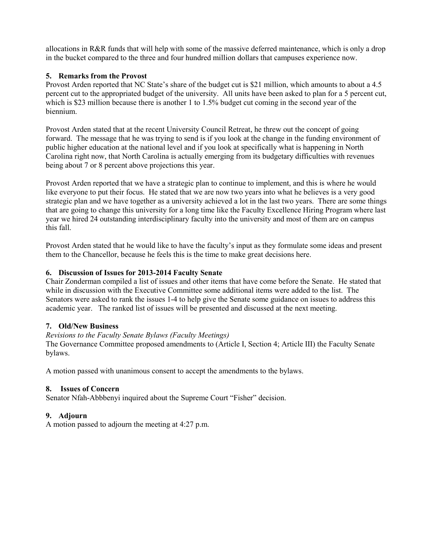allocations in R&R funds that will help with some of the massive deferred maintenance, which is only a drop in the bucket compared to the three and four hundred million dollars that campuses experience now.

## **5. Remarks from the Provost**

Provost Arden reported that NC State's share of the budget cut is \$21 million, which amounts to about a 4.5 percent cut to the appropriated budget of the university. All units have been asked to plan for a 5 percent cut, which is \$23 million because there is another 1 to 1.5% budget cut coming in the second year of the biennium.

Provost Arden stated that at the recent University Council Retreat, he threw out the concept of going forward. The message that he was trying to send is if you look at the change in the funding environment of public higher education at the national level and if you look at specifically what is happening in North Carolina right now, that North Carolina is actually emerging from its budgetary difficulties with revenues being about 7 or 8 percent above projections this year.

Provost Arden reported that we have a strategic plan to continue to implement, and this is where he would like everyone to put their focus. He stated that we are now two years into what he believes is a very good strategic plan and we have together as a university achieved a lot in the last two years. There are some things that are going to change this university for a long time like the Faculty Excellence Hiring Program where last year we hired 24 outstanding interdisciplinary faculty into the university and most of them are on campus this fall.

Provost Arden stated that he would like to have the faculty's input as they formulate some ideas and present them to the Chancellor, because he feels this is the time to make great decisions here.

### **6. Discussion of Issues for 2013-2014 Faculty Senate**

Chair Zonderman compiled a list of issues and other items that have come before the Senate. He stated that while in discussion with the Executive Committee some additional items were added to the list. The Senators were asked to rank the issues 1-4 to help give the Senate some guidance on issues to address this academic year. The ranked list of issues will be presented and discussed at the next meeting.

### **7. Old/New Business**

### *Revisions to the Faculty Senate Bylaws (Faculty Meetings)*

The Governance Committee proposed amendments to (Article I, Section 4; Article III) the Faculty Senate bylaws.

A motion passed with unanimous consent to accept the amendments to the bylaws.

### **8. Issues of Concern**

Senator Nfah-Abbbenyi inquired about the Supreme Court "Fisher" decision.

### **9. Adjourn**

A motion passed to adjourn the meeting at 4:27 p.m.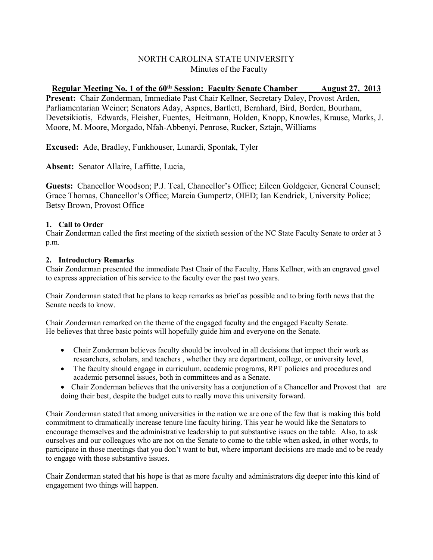# NORTH CAROLINA STATE UNIVERSITY Minutes of the Faculty

**Regular Meeting No. 1 of the 60th Session: Faculty Senate Chamber August 27, 2013 Present:** Chair Zonderman, Immediate Past Chair Kellner, Secretary Daley, Provost Arden, Parliamentarian Weiner; Senators Aday, Aspnes, Bartlett, Bernhard, Bird, Borden, Bourham, Devetsikiotis, Edwards, Fleisher, Fuentes, Heitmann, Holden, Knopp, Knowles, Krause, Marks, J. Moore, M. Moore, Morgado, Nfah-Abbenyi, Penrose, Rucker, Sztajn, Williams

**Excused:** Ade, Bradley, Funkhouser, Lunardi, Spontak, Tyler

**Absent:** Senator Allaire, Laffitte, Lucia,

**Guests:** Chancellor Woodson; P.J. Teal, Chancellor's Office; Eileen Goldgeier, General Counsel; Grace Thomas, Chancellor's Office; Marcia Gumpertz, OIED; Ian Kendrick, University Police; Betsy Brown, Provost Office

# **1. Call to Order**

Chair Zonderman called the first meeting of the sixtieth session of the NC State Faculty Senate to order at 3 p.m.

## **2. Introductory Remarks**

Chair Zonderman presented the immediate Past Chair of the Faculty, Hans Kellner, with an engraved gavel to express appreciation of his service to the faculty over the past two years.

Chair Zonderman stated that he plans to keep remarks as brief as possible and to bring forth news that the Senate needs to know.

Chair Zonderman remarked on the theme of the engaged faculty and the engaged Faculty Senate. He believes that three basic points will hopefully guide him and everyone on the Senate.

- Chair Zonderman believes faculty should be involved in all decisions that impact their work as researchers, scholars, and teachers , whether they are department, college, or university level,
- The faculty should engage in curriculum, academic programs, RPT policies and procedures and academic personnel issues, both in committees and as a Senate.
- Chair Zonderman believes that the university has a conjunction of a Chancellor and Provost that are doing their best, despite the budget cuts to really move this university forward.

Chair Zonderman stated that among universities in the nation we are one of the few that is making this bold commitment to dramatically increase tenure line faculty hiring. This year he would like the Senators to encourage themselves and the administrative leadership to put substantive issues on the table. Also, to ask ourselves and our colleagues who are not on the Senate to come to the table when asked, in other words, to participate in those meetings that you don't want to but, where important decisions are made and to be ready to engage with those substantive issues.

Chair Zonderman stated that his hope is that as more faculty and administrators dig deeper into this kind of engagement two things will happen.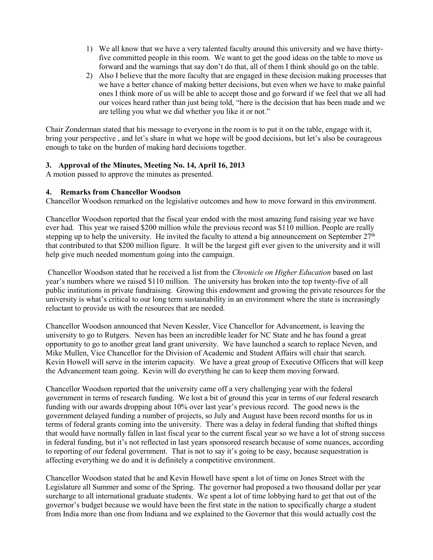- 1) We all know that we have a very talented faculty around this university and we have thirtyfive committed people in this room. We want to get the good ideas on the table to move us forward and the warnings that say don't do that, all of them I think should go on the table.
- 2) Also I believe that the more faculty that are engaged in these decision making processes that we have a better chance of making better decisions, but even when we have to make painful ones I think more of us will be able to accept those and go forward if we feel that we all had our voices heard rather than just being told, "here is the decision that has been made and we are telling you what we did whether you like it or not."

Chair Zonderman stated that his message to everyone in the room is to put it on the table, engage with it, bring your perspective , and let's share in what we hope will be good decisions, but let's also be courageous enough to take on the burden of making hard decisions together.

## **3. Approval of the Minutes, Meeting No. 14, April 16, 2013**

A motion passed to approve the minutes as presented.

## **4. Remarks from Chancellor Woodson**

Chancellor Woodson remarked on the legislative outcomes and how to move forward in this environment.

Chancellor Woodson reported that the fiscal year ended with the most amazing fund raising year we have ever had. This year we raised \$200 million while the previous record was \$110 million. People are really stepping up to help the university. He invited the faculty to attend a big announcement on September  $27<sup>th</sup>$ that contributed to that \$200 million figure. It will be the largest gift ever given to the university and it will help give much needed momentum going into the campaign.

Chancellor Woodson stated that he received a list from the *Chronicle on Higher Education* based on last year's numbers where we raised \$110 million. The university has broken into the top twenty-five of all public institutions in private fundraising. Growing this endowment and growing the private resources for the university is what's critical to our long term sustainability in an environment where the state is increasingly reluctant to provide us with the resources that are needed.

Chancellor Woodson announced that Neven Kessler, Vice Chancellor for Advancement, is leaving the university to go to Rutgers. Neven has been an incredible leader for NC State and he has found a great opportunity to go to another great land grant university. We have launched a search to replace Neven, and Mike Mullen, Vice Chancellor for the Division of Academic and Student Affairs will chair that search. Kevin Howell will serve in the interim capacity. We have a great group of Executive Officers that will keep the Advancement team going. Kevin will do everything he can to keep them moving forward.

Chancellor Woodson reported that the university came off a very challenging year with the federal government in terms of research funding. We lost a bit of ground this year in terms of our federal research funding with our awards dropping about 10% over last year's previous record. The good news is the government delayed funding a number of projects, so July and August have been record months for us in terms of federal grants coming into the university. There was a delay in federal funding that shifted things that would have normally fallen in last fiscal year to the current fiscal year so we have a lot of strong success in federal funding, but it's not reflected in last years sponsored research because of some nuances, according to reporting of our federal government. That is not to say it's going to be easy, because sequestration is affecting everything we do and it is definitely a competitive environment.

Chancellor Woodson stated that he and Kevin Howell have spent a lot of time on Jones Street with the Legislature all Summer and some of the Spring. The governor had proposed a two thousand dollar per year surcharge to all international graduate students. We spent a lot of time lobbying hard to get that out of the governor's budget because we would have been the first state in the nation to specifically charge a student from India more than one from Indiana and we explained to the Governor that this would actually cost the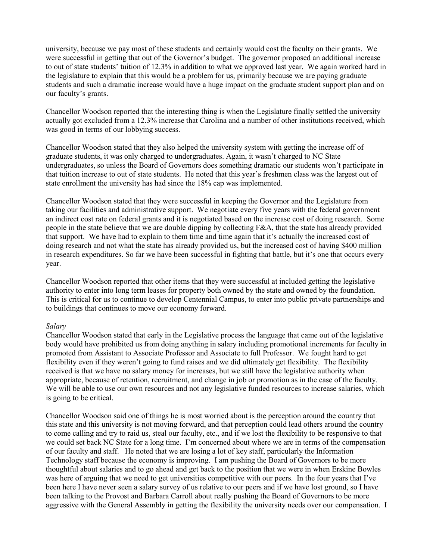university, because we pay most of these students and certainly would cost the faculty on their grants. We were successful in getting that out of the Governor's budget. The governor proposed an additional increase to out of state students' tuition of 12.3% in addition to what we approved last year. We again worked hard in the legislature to explain that this would be a problem for us, primarily because we are paying graduate students and such a dramatic increase would have a huge impact on the graduate student support plan and on our faculty's grants.

Chancellor Woodson reported that the interesting thing is when the Legislature finally settled the university actually got excluded from a 12.3% increase that Carolina and a number of other institutions received, which was good in terms of our lobbying success.

Chancellor Woodson stated that they also helped the university system with getting the increase off of graduate students, it was only charged to undergraduates. Again, it wasn't charged to NC State undergraduates, so unless the Board of Governors does something dramatic our students won't participate in that tuition increase to out of state students. He noted that this year's freshmen class was the largest out of state enrollment the university has had since the 18% cap was implemented.

Chancellor Woodson stated that they were successful in keeping the Governor and the Legislature from taking our facilities and administrative support. We negotiate every five years with the federal government an indirect cost rate on federal grants and it is negotiated based on the increase cost of doing research. Some people in the state believe that we are double dipping by collecting F&A, that the state has already provided that support. We have had to explain to them time and time again that it's actually the increased cost of doing research and not what the state has already provided us, but the increased cost of having \$400 million in research expenditures. So far we have been successful in fighting that battle, but it's one that occurs every year.

Chancellor Woodson reported that other items that they were successful at included getting the legislative authority to enter into long term leases for property both owned by the state and owned by the foundation. This is critical for us to continue to develop Centennial Campus, to enter into public private partnerships and to buildings that continues to move our economy forward.

#### *Salary*

Chancellor Woodson stated that early in the Legislative process the language that came out of the legislative body would have prohibited us from doing anything in salary including promotional increments for faculty in promoted from Assistant to Associate Professor and Associate to full Professor. We fought hard to get flexibility even if they weren't going to fund raises and we did ultimately get flexibility. The flexibility received is that we have no salary money for increases, but we still have the legislative authority when appropriate, because of retention, recruitment, and change in job or promotion as in the case of the faculty. We will be able to use our own resources and not any legislative funded resources to increase salaries, which is going to be critical.

Chancellor Woodson said one of things he is most worried about is the perception around the country that this state and this university is not moving forward, and that perception could lead others around the country to come calling and try to raid us, steal our faculty, etc., and if we lost the flexibility to be responsive to that we could set back NC State for a long time. I'm concerned about where we are in terms of the compensation of our faculty and staff. He noted that we are losing a lot of key staff, particularly the Information Technology staff because the economy is improving. I am pushing the Board of Governors to be more thoughtful about salaries and to go ahead and get back to the position that we were in when Erskine Bowles was here of arguing that we need to get universities competitive with our peers. In the four years that I've been here I have never seen a salary survey of us relative to our peers and if we have lost ground, so I have been talking to the Provost and Barbara Carroll about really pushing the Board of Governors to be more aggressive with the General Assembly in getting the flexibility the university needs over our compensation. I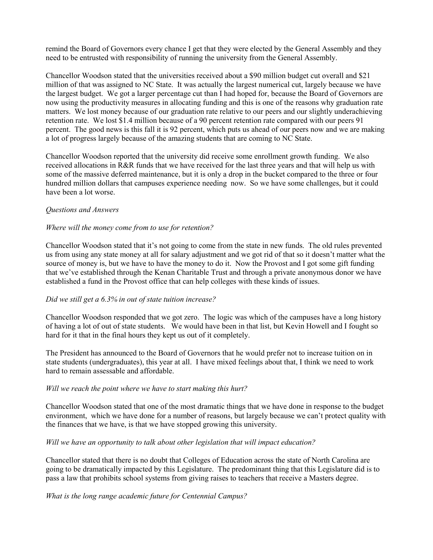remind the Board of Governors every chance I get that they were elected by the General Assembly and they need to be entrusted with responsibility of running the university from the General Assembly.

Chancellor Woodson stated that the universities received about a \$90 million budget cut overall and \$21 million of that was assigned to NC State. It was actually the largest numerical cut, largely because we have the largest budget. We got a larger percentage cut than I had hoped for, because the Board of Governors are now using the productivity measures in allocating funding and this is one of the reasons why graduation rate matters. We lost money because of our graduation rate relative to our peers and our slightly underachieving retention rate. We lost \$1.4 million because of a 90 percent retention rate compared with our peers 91 percent. The good news is this fall it is 92 percent, which puts us ahead of our peers now and we are making a lot of progress largely because of the amazing students that are coming to NC State.

Chancellor Woodson reported that the university did receive some enrollment growth funding. We also received allocations in R&R funds that we have received for the last three years and that will help us with some of the massive deferred maintenance, but it is only a drop in the bucket compared to the three or four hundred million dollars that campuses experience needing now. So we have some challenges, but it could have been a lot worse.

### *Questions and Answers*

#### *Where will the money come from to use for retention?*

Chancellor Woodson stated that it's not going to come from the state in new funds. The old rules prevented us from using any state money at all for salary adjustment and we got rid of that so it doesn't matter what the source of money is, but we have to have the money to do it. Now the Provost and I got some gift funding that we've established through the Kenan Charitable Trust and through a private anonymous donor we have established a fund in the Provost office that can help colleges with these kinds of issues.

#### *Did we still get a 6.3% in out of state tuition increase?*

Chancellor Woodson responded that we got zero. The logic was which of the campuses have a long history of having a lot of out of state students. We would have been in that list, but Kevin Howell and I fought so hard for it that in the final hours they kept us out of it completely.

The President has announced to the Board of Governors that he would prefer not to increase tuition on in state students (undergraduates), this year at all. I have mixed feelings about that, I think we need to work hard to remain assessable and affordable.

#### *Will we reach the point where we have to start making this hurt?*

Chancellor Woodson stated that one of the most dramatic things that we have done in response to the budget environment, which we have done for a number of reasons, but largely because we can't protect quality with the finances that we have, is that we have stopped growing this university.

#### *Will we have an opportunity to talk about other legislation that will impact education?*

Chancellor stated that there is no doubt that Colleges of Education across the state of North Carolina are going to be dramatically impacted by this Legislature. The predominant thing that this Legislature did is to pass a law that prohibits school systems from giving raises to teachers that receive a Masters degree.

#### *What is the long range academic future for Centennial Campus?*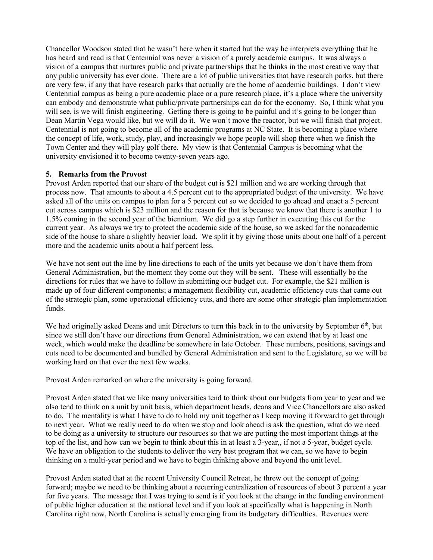Chancellor Woodson stated that he wasn't here when it started but the way he interprets everything that he has heard and read is that Centennial was never a vision of a purely academic campus. It was always a vision of a campus that nurtures public and private partnerships that he thinks in the most creative way that any public university has ever done. There are a lot of public universities that have research parks, but there are very few, if any that have research parks that actually are the home of academic buildings. I don't view Centennial campus as being a pure academic place or a pure research place, it's a place where the university can embody and demonstrate what public/private partnerships can do for the economy. So, I think what you will see, is we will finish engineering. Getting there is going to be painful and it's going to be longer than Dean Martin Vega would like, but we will do it. We won't move the reactor, but we will finish that project. Centennial is not going to become all of the academic programs at NC State. It is becoming a place where the concept of life, work, study, play, and increasingly we hope people will shop there when we finish the Town Center and they will play golf there. My view is that Centennial Campus is becoming what the university envisioned it to become twenty-seven years ago.

### **5. Remarks from the Provost**

Provost Arden reported that our share of the budget cut is \$21 million and we are working through that process now. That amounts to about a 4.5 percent cut to the appropriated budget of the university. We have asked all of the units on campus to plan for a 5 percent cut so we decided to go ahead and enact a 5 percent cut across campus which is \$23 million and the reason for that is because we know that there is another 1 to 1.5% coming in the second year of the biennium. We did go a step further in executing this cut for the current year. As always we try to protect the academic side of the house, so we asked for the nonacademic side of the house to share a slightly heavier load. We split it by giving those units about one half of a percent more and the academic units about a half percent less.

We have not sent out the line by line directions to each of the units yet because we don't have them from General Administration, but the moment they come out they will be sent. These will essentially be the directions for rules that we have to follow in submitting our budget cut. For example, the \$21 million is made up of four different components; a management flexibility cut, academic efficiency cuts that came out of the strategic plan, some operational efficiency cuts, and there are some other strategic plan implementation funds.

We had originally asked Deans and unit Directors to turn this back in to the university by September 6<sup>th</sup>, but since we still don't have our directions from General Administration, we can extend that by at least one week, which would make the deadline be somewhere in late October. These numbers, positions, savings and cuts need to be documented and bundled by General Administration and sent to the Legislature, so we will be working hard on that over the next few weeks.

Provost Arden remarked on where the university is going forward.

Provost Arden stated that we like many universities tend to think about our budgets from year to year and we also tend to think on a unit by unit basis, which department heads, deans and Vice Chancellors are also asked to do. The mentality is what I have to do to hold my unit together as I keep moving it forward to get through to next year. What we really need to do when we stop and look ahead is ask the question, what do we need to be doing as a university to structure our resources so that we are putting the most important things at the top of the list, and how can we begin to think about this in at least a 3-year,, if not a 5-year, budget cycle. We have an obligation to the students to deliver the very best program that we can, so we have to begin thinking on a multi-year period and we have to begin thinking above and beyond the unit level.

Provost Arden stated that at the recent University Council Retreat, he threw out the concept of going forward; maybe we need to be thinking about a recurring centralization of resources of about 3 percent a year for five years. The message that I was trying to send is if you look at the change in the funding environment of public higher education at the national level and if you look at specifically what is happening in North Carolina right now, North Carolina is actually emerging from its budgetary difficulties. Revenues were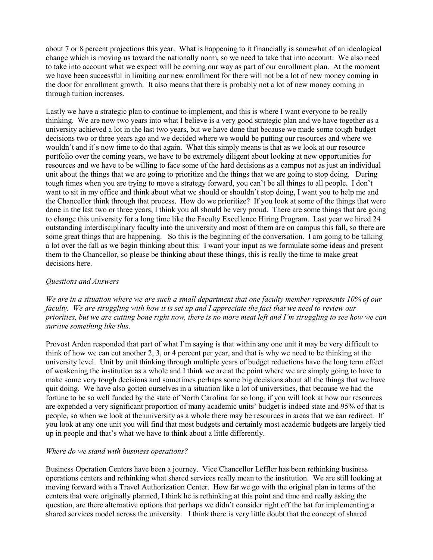about 7 or 8 percent projections this year. What is happening to it financially is somewhat of an ideological change which is moving us toward the nationally norm, so we need to take that into account. We also need to take into account what we expect will be coming our way as part of our enrollment plan. At the moment we have been successful in limiting our new enrollment for there will not be a lot of new money coming in the door for enrollment growth. It also means that there is probably not a lot of new money coming in through tuition increases.

Lastly we have a strategic plan to continue to implement, and this is where I want everyone to be really thinking. We are now two years into what I believe is a very good strategic plan and we have together as a university achieved a lot in the last two years, but we have done that because we made some tough budget decisions two or three years ago and we decided where we would be putting our resources and where we wouldn't and it's now time to do that again. What this simply means is that as we look at our resource portfolio over the coming years, we have to be extremely diligent about looking at new opportunities for resources and we have to be willing to face some of the hard decisions as a campus not as just an individual unit about the things that we are going to prioritize and the things that we are going to stop doing. During tough times when you are trying to move a strategy forward, you can't be all things to all people. I don't want to sit in my office and think about what we should or shouldn't stop doing, I want you to help me and the Chancellor think through that process. How do we prioritize? If you look at some of the things that were done in the last two or three years, I think you all should be very proud. There are some things that are going to change this university for a long time like the Faculty Excellence Hiring Program. Last year we hired 24 outstanding interdisciplinary faculty into the university and most of them are on campus this fall, so there are some great things that are happening. So this is the beginning of the conversation. I am going to be talking a lot over the fall as we begin thinking about this. I want your input as we formulate some ideas and present them to the Chancellor, so please be thinking about these things, this is really the time to make great decisions here.

## *Questions and Answers*

*We are in a situation where we are such a small department that one faculty member represents 10% of our faculty. We are struggling with how it is set up and I appreciate the fact that we need to review our priorities, but we are cutting bone right now, there is no more meat left and I'm struggling to see how we can survive something like this.* 

Provost Arden responded that part of what I'm saying is that within any one unit it may be very difficult to think of how we can cut another 2, 3, or 4 percent per year, and that is why we need to be thinking at the university level. Unit by unit thinking through multiple years of budget reductions have the long term effect of weakening the institution as a whole and I think we are at the point where we are simply going to have to make some very tough decisions and sometimes perhaps some big decisions about all the things that we have quit doing. We have also gotten ourselves in a situation like a lot of universities, that because we had the fortune to be so well funded by the state of North Carolina for so long, if you will look at how our resources are expended a very significant proportion of many academic units' budget is indeed state and 95% of that is people, so when we look at the university as a whole there may be resources in areas that we can redirect. If you look at any one unit you will find that most budgets and certainly most academic budgets are largely tied up in people and that's what we have to think about a little differently.

# *Where do we stand with business operations?*

Business Operation Centers have been a journey. Vice Chancellor Leffler has been rethinking business operations centers and rethinking what shared services really mean to the institution. We are still looking at moving forward with a Travel Authorization Center. How far we go with the original plan in terms of the centers that were originally planned, I think he is rethinking at this point and time and really asking the question, are there alternative options that perhaps we didn't consider right off the bat for implementing a shared services model across the university. I think there is very little doubt that the concept of shared